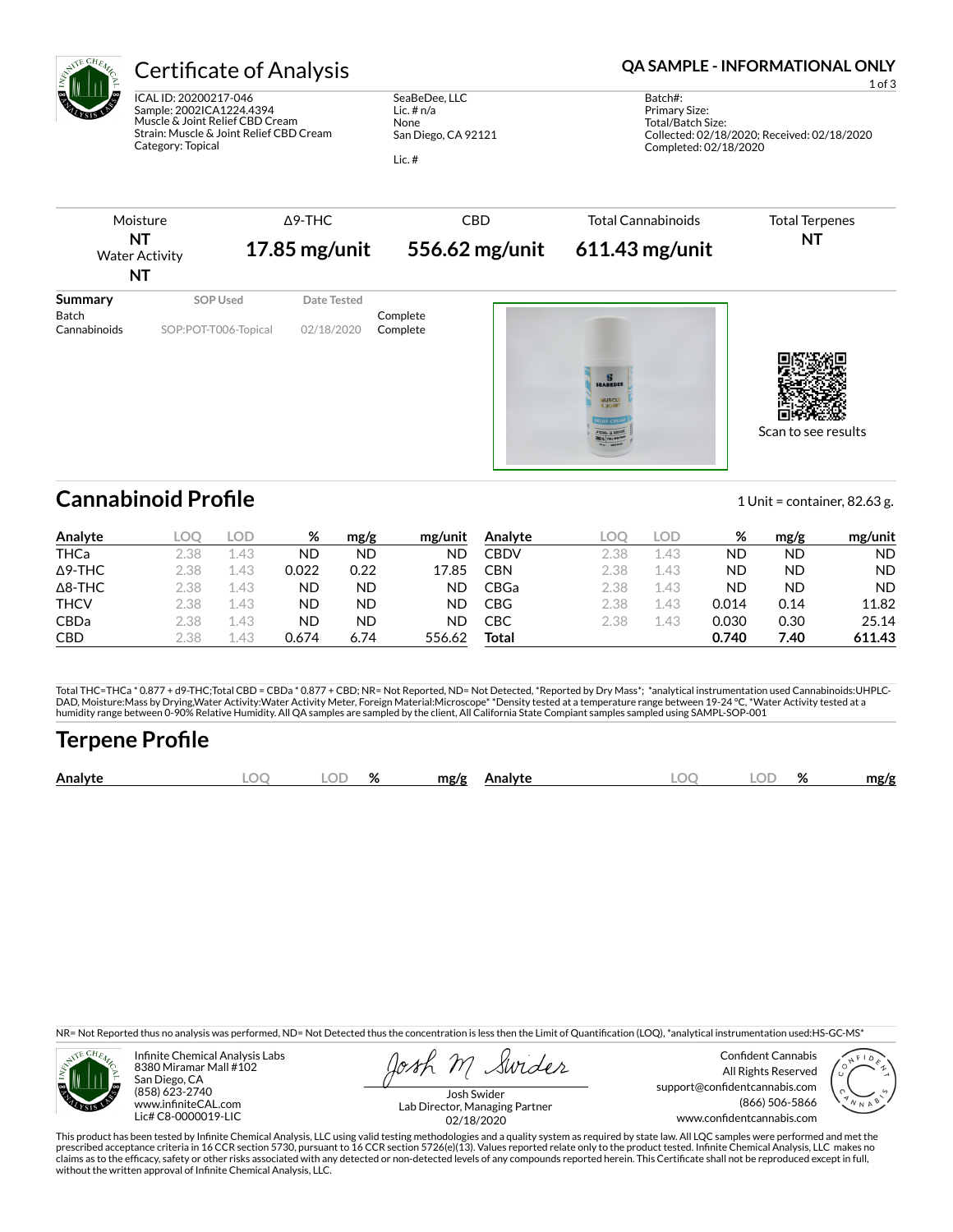

ICAL ID: 20200217-046 Sample: 2002ICA1224.4394 Muscle & Joint Relief CBD Cream Strain: Muscle & Joint Relief CBD Cream Category: Topical

SeaBeDee, LLC Lic. # n/a None San Diego, CA 92121

Lic. #

## Certificate of Analysis **Certificate of Analysis QA SAMPLE - INFORMATIONAL ONLY**

1 of 3

Batch#: Primary Size: Total/Batch Size: Collected: 02/18/2020; Received: 02/18/2020 Completed: 02/18/2020



## **Cannabinoid Profile** 1 Unit = container, 82.63 g.

| Analyte        | LOQ. | LOD  | %     | mg/g | mg/unit | Analyte    | LOO  | LOD  | %     | mg/g | mg/unit   |
|----------------|------|------|-------|------|---------|------------|------|------|-------|------|-----------|
| <b>THCa</b>    | 2.38 | 1.43 | ND    | ND   | ND      | CBDV       | 2.38 | 1.43 | ND    | ND   | <b>ND</b> |
| $\Delta$ 9-THC | 2.38 | .43  | 0.022 | 0.22 | 17.85   | <b>CBN</b> | 2.38 | 1.43 | ND    | ND   | <b>ND</b> |
| $\Delta$ 8-THC | 2.38 | 1.43 | ND    | ND.  | ND      | CBGa       | 2.38 | 1.43 | ND    | ND   | <b>ND</b> |
| <b>THCV</b>    | 2.38 | 1.43 | ND    | ND.  | ND      | CBG        | 2.38 | 1.43 | 0.014 | 0.14 | 11.82     |
| <b>CBDa</b>    | 2.38 | 1.43 | ND    | ND   | ND      | СВС        | 2.38 | 1.43 | 0.030 | 0.30 | 25.14     |
| <b>CBD</b>     | 2.38 | .43  | 0.674 | 6.74 | 556.62  | Total      |      |      | 0.740 | 7.40 | 611.43    |

Total THC=THCa \* 0.877 + d9-THC;Total CBD = CBDa \* 0.877 + CBD; NR= Not Reported, ND= Not Detected, \*Reported by Dry Mass\*; \*analytical instrumentation used Cannabinoids:UHPLC-DAD, Moisture:Mass by Drying,Water Activity:Water Activity Meter, Foreign Material:Microscope\* \*Density tested at a temperature range between 19-24 °C, \*Water Activity tested at a<br>humidity range between 0-90% Relative Humi

# **Terpene Pro×le**

|  | Analyte | м | $\sim$ $\sim$<br>اللساء | $\alpha$<br>۷n | mg/g<br>Analyte | $\Gamma$ | ור | OZ. | mg/g |
|--|---------|---|-------------------------|----------------|-----------------|----------|----|-----|------|
|--|---------|---|-------------------------|----------------|-----------------|----------|----|-----|------|

NR= Not Reported thus no analysis was performed, ND= Not Detected thus the concentration is less then the Limit of Quantification (LOQ), \*analytical instrumentation used:HS-GC-MS\*



Infinite Chemical Analysis Labs 8380 Miramar Mall #102 San Diego, CA (858) 623-2740 www.infiniteCAL.com Lic# C8-0000019-LIC

Swides

Confident Cannabis All Rights Reserved support@confidentcannabis.com (866) 506-5866 www.confidentcannabis.com



Josh Swider Lab Director, Managing Partner 02/18/2020

This product has been tested by Infinite Chemical Analysis, LLC using valid testing methodologies and a quality system as required by state law. All LQC samples were performed and met the prescribed acceptance criteria in 16 CCR section 5730, pursuant to 16 CCR section 5726(e)(13). Values reported relate only to the product tested. Infinite Chemical Analysis, LLC makes no<br>claims as to the efficacy, safety o without the written approval of Infinite Chemical Analysis, LLC.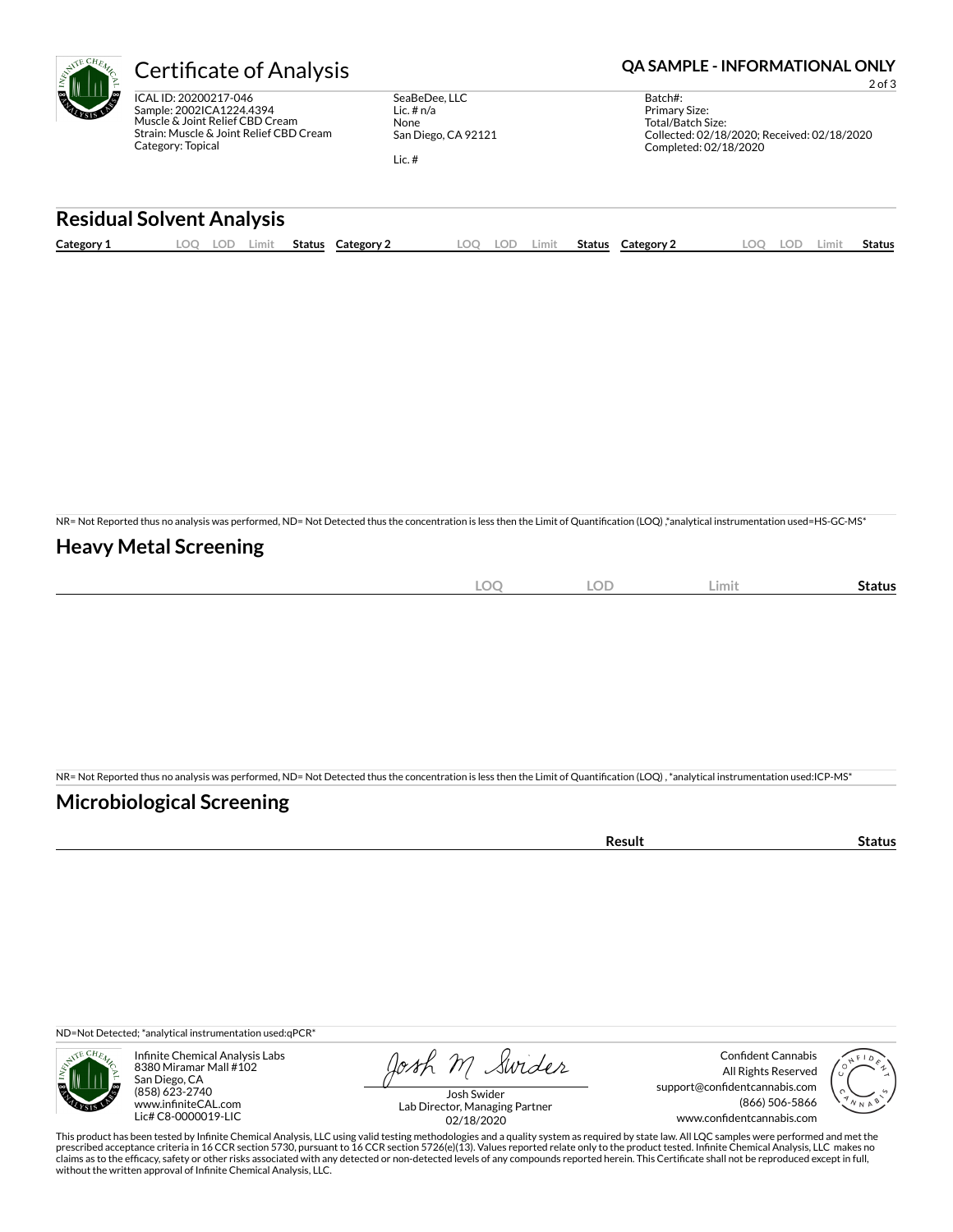ICAL ID: 20200217-046 Sample: 2002ICA1224.4394 Muscle & Joint Relief CBD Cream Strain: Muscle & Joint Relief CBD Cream Category: Topical

SeaBeDee, LLC Lic. # n/a None San Diego, CA 92121

Lic. #

## Certificate of Analysis **Certificate of Analysis QA SAMPLE - INFORMATIONAL ONLY**

2 of 3

Batch#: Primary Size: Total/Batch Size: Collected: 02/18/2020; Received: 02/18/2020 Completed: 02/18/2020

### **Residual Solvent Analysis**

| Category 1 | LOC. | LUL' | Limit | <b>Status</b> | Category | LOO | LOE | Limit. | Status | Category 2 | $\Omega$ | LOD. | ∟imit | <b>Status</b> |
|------------|------|------|-------|---------------|----------|-----|-----|--------|--------|------------|----------|------|-------|---------------|
|            |      |      |       |               |          |     |     |        |        |            |          |      |       |               |

NR= Not Reported thus no analysis was performed, ND= Not Detected thus the concentration is less then the Limit of Quantification (LOQ),\*analytical instrumentation used=HS-GC-MS\*

## **Heavy Metal Screening**

| $\sim$<br>-w<br>$\sim$ | OF<br>◡◡ | Limit | Status |
|------------------------|----------|-------|--------|
|                        |          |       |        |

NR= Not Reported thus no analysis was performed, ND= Not Detected thus the concentration is less then the Limit of Quantification (LOQ), \*analytical instrumentation used:ICP-MS\*

## **Microbiological Screening**

ND=Not Detected; \*analytical instrumentation used:qPCR\*



Infinite Chemical Analysis Labs 8380 Miramar Mall #102 San Diego, CA (858) 623-2740 www.infiniteCAL.com Lic# C8-0000019-LIC

Josh M Swider

Confident Cannabis All Rights Reserved support@confidentcannabis.com (866) 506-5866 www.confidentcannabis.com



Josh Swider Lab Director, Managing Partner 02/18/2020

This product has been tested by Infinite Chemical Analysis, LLC using valid testing methodologies and a quality system as required by state law. All LQC samples were performed and met the prescribed acceptance criteria in 16 CCR section 5730, pursuant to 16 CCR section 5726(e)(13). Values reported relate only to the product tested. Infinite Chemical Analysis, LLC makes no<br>claims as to the efficacy, safety o without the written approval of Infinite Chemical Analysis, LLC.